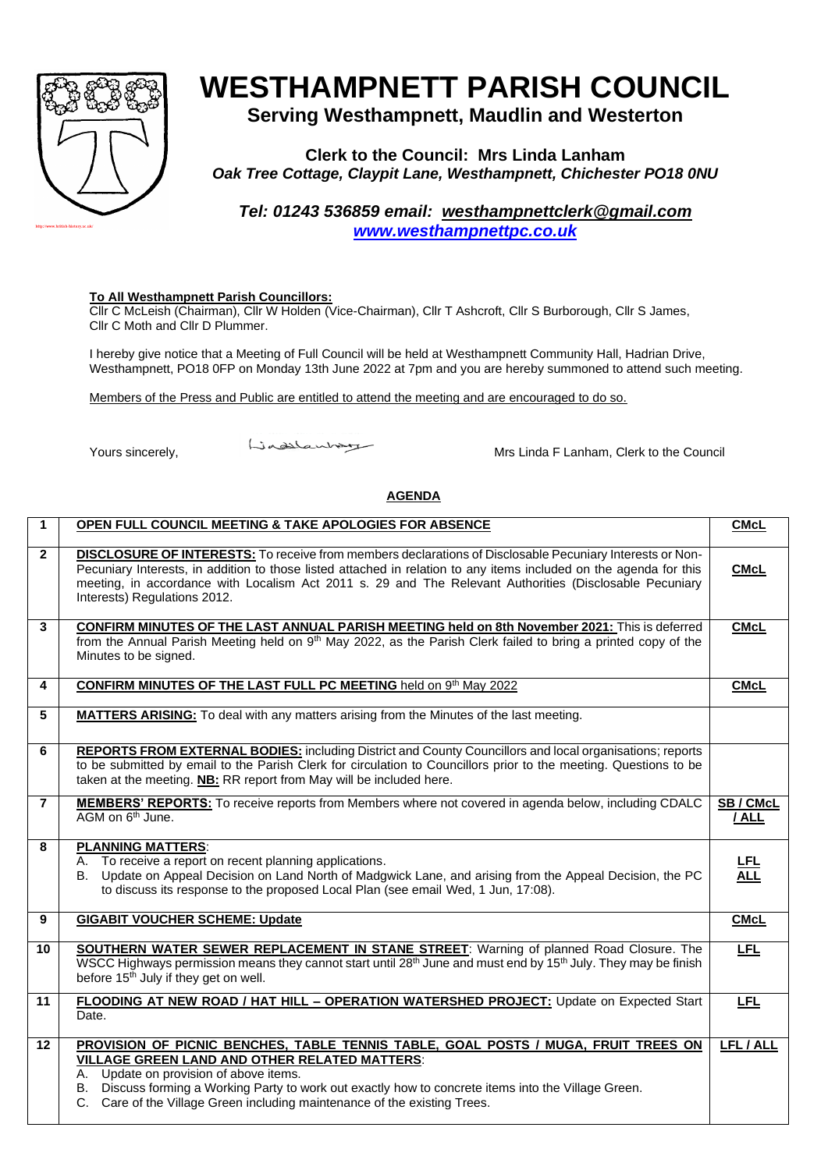

## **WESTHAMPNETT PARISH COUNCIL**

**Serving Westhampnett, Maudlin and Westerton**

**Clerk to the Council: Mrs Linda Lanham** *Oak Tree Cottage, Claypit Lane, Westhampnett, Chichester PO18 0NU*

*Tel: 01243 536859 email: [westhampnettclerk@gmail.com](mailto:westhampnettclerk@gmail.com) [www.westhampnettpc.co.uk](http://www.westhampnettpc.co.uk/)*

## **To All Westhampnett Parish Councillors:**

Cllr C McLeish (Chairman), Cllr W Holden (Vice-Chairman), Cllr T Ashcroft, Cllr S Burborough, Cllr S James, Cllr C Moth and Cllr D Plummer.

I hereby give notice that a Meeting of Full Council will be held at Westhampnett Community Hall, Hadrian Drive, Westhampnett, PO18 0FP on Monday 13th June 2022 at 7pm and you are hereby summoned to attend such meeting.

Members of the Press and Public are entitled to attend the meeting and are encouraged to do so.

Yours sincerely, Mrs Linda F Lanham, Clerk to the Council

## **AGENDA**

| 1              | OPEN FULL COUNCIL MEETING & TAKE APOLOGIES FOR ABSENCE                                                                                                                                                                                                                                                                                                                           | <b>CMcL</b>     |
|----------------|----------------------------------------------------------------------------------------------------------------------------------------------------------------------------------------------------------------------------------------------------------------------------------------------------------------------------------------------------------------------------------|-----------------|
| $\mathbf{2}$   | <b>DISCLOSURE OF INTERESTS:</b> To receive from members declarations of Disclosable Pecuniary Interests or Non-<br>Pecuniary Interests, in addition to those listed attached in relation to any items included on the agenda for this<br>meeting, in accordance with Localism Act 2011 s. 29 and The Relevant Authorities (Disclosable Pecuniary<br>Interests) Regulations 2012. | <b>CMcL</b>     |
| 3              | <b>CONFIRM MINUTES OF THE LAST ANNUAL PARISH MEETING held on 8th November 2021: This is deferred</b><br>from the Annual Parish Meeting held on 9 <sup>th</sup> May 2022, as the Parish Clerk failed to bring a printed copy of the<br>Minutes to be signed.                                                                                                                      | <b>CMcL</b>     |
| 4              | CONFIRM MINUTES OF THE LAST FULL PC MEETING held on 9th May 2022                                                                                                                                                                                                                                                                                                                 | <b>CMcL</b>     |
| 5              | <b>MATTERS ARISING:</b> To deal with any matters arising from the Minutes of the last meeting.                                                                                                                                                                                                                                                                                   |                 |
| 6              | <b>REPORTS FROM EXTERNAL BODIES:</b> including District and County Councillors and local organisations; reports<br>to be submitted by email to the Parish Clerk for circulation to Councillors prior to the meeting. Questions to be<br>taken at the meeting. NB: RR report from May will be included here.                                                                      |                 |
| $\overline{7}$ | MEMBERS' REPORTS: To receive reports from Members where not covered in agenda below, including CDALC<br>AGM on 6 <sup>th</sup> June.                                                                                                                                                                                                                                             | SB/CMcL<br>/ALL |
| 8              | <b>PLANNING MATTERS:</b><br>A. To receive a report on recent planning applications.<br>B. Update on Appeal Decision on Land North of Madgwick Lane, and arising from the Appeal Decision, the PC<br>to discuss its response to the proposed Local Plan (see email Wed, 1 Jun, 17:08).                                                                                            | 딾               |
| 9              | <b>GIGABIT VOUCHER SCHEME: Update</b>                                                                                                                                                                                                                                                                                                                                            | <b>CMcL</b>     |
| 10             | <b>SOUTHERN WATER SEWER REPLACEMENT IN STANE STREET:</b> Warning of planned Road Closure. The<br>WSCC Highways permission means they cannot start until 28 <sup>th</sup> June and must end by 15 <sup>th</sup> July. They may be finish<br>before 15 <sup>th</sup> July if they get on well.                                                                                     | <b>LFL</b>      |
| 11             | FLOODING AT NEW ROAD / HAT HILL - OPERATION WATERSHED PROJECT: Update on Expected Start<br>Date.                                                                                                                                                                                                                                                                                 | <b>LFL</b>      |
| 12             | PROVISION OF PICNIC BENCHES, TABLE TENNIS TABLE, GOAL POSTS / MUGA, FRUIT TREES ON<br><b>VILLAGE GREEN LAND AND OTHER RELATED MATTERS:</b><br>A. Update on provision of above items.<br>B. Discuss forming a Working Party to work out exactly how to concrete items into the Village Green.<br>C. Care of the Village Green including maintenance of the existing Trees.        | LFL / ALL       |